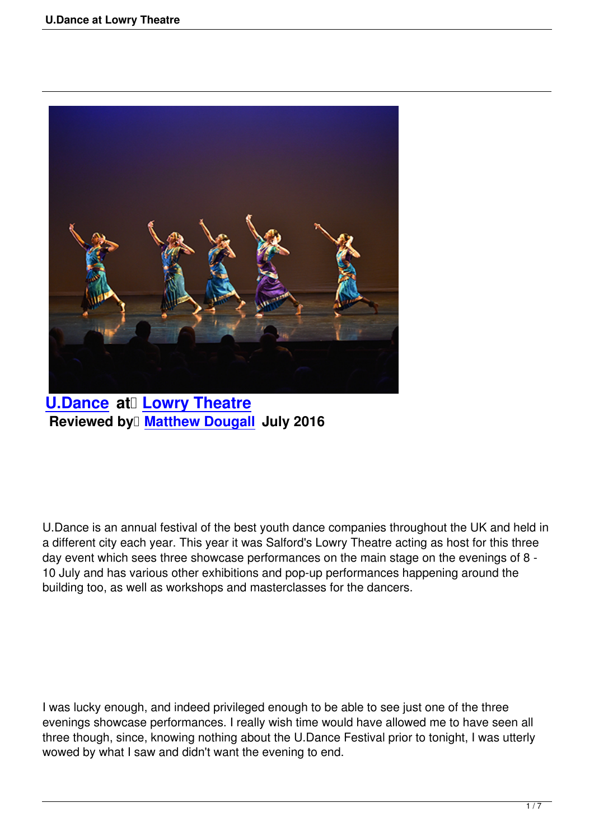

**U.Dance at Lowry Theatre Reviewed by Matthew Dougall July 2016** 

U.Dance is an annual festival of the best youth dance companies throughout the UK and held in a different city each year. This year it was Salford's Lowry Theatre acting as host for this three day event which sees three showcase performances on the main stage on the evenings of 8 - 10 July and has various other exhibitions and pop-up performances happening around the building too, as well as workshops and masterclasses for the dancers.

I was lucky enough, and indeed privileged enough to be able to see just one of the three evenings showcase performances. I really wish time would have allowed me to have seen all three though, since, knowing nothing about the U.Dance Festival prior to tonight, I was utterly wowed by what I saw and didn't want the evening to end.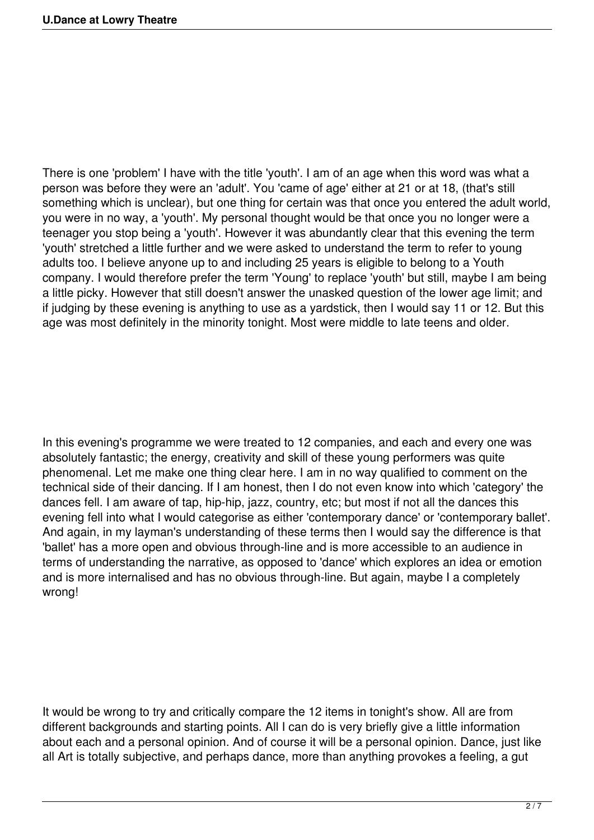There is one 'problem' I have with the title 'youth'. I am of an age when this word was what a person was before they were an 'adult'. You 'came of age' either at 21 or at 18, (that's still something which is unclear), but one thing for certain was that once you entered the adult world, you were in no way, a 'youth'. My personal thought would be that once you no longer were a teenager you stop being a 'youth'. However it was abundantly clear that this evening the term 'youth' stretched a little further and we were asked to understand the term to refer to young adults too. I believe anyone up to and including 25 years is eligible to belong to a Youth company. I would therefore prefer the term 'Young' to replace 'youth' but still, maybe I am being a little picky. However that still doesn't answer the unasked question of the lower age limit; and if judging by these evening is anything to use as a yardstick, then I would say 11 or 12. But this age was most definitely in the minority tonight. Most were middle to late teens and older.

In this evening's programme we were treated to 12 companies, and each and every one was absolutely fantastic; the energy, creativity and skill of these young performers was quite phenomenal. Let me make one thing clear here. I am in no way qualified to comment on the technical side of their dancing. If I am honest, then I do not even know into which 'category' the dances fell. I am aware of tap, hip-hip, jazz, country, etc; but most if not all the dances this evening fell into what I would categorise as either 'contemporary dance' or 'contemporary ballet'. And again, in my layman's understanding of these terms then I would say the difference is that 'ballet' has a more open and obvious through-line and is more accessible to an audience in terms of understanding the narrative, as opposed to 'dance' which explores an idea or emotion and is more internalised and has no obvious through-line. But again, maybe I a completely wrong!

It would be wrong to try and critically compare the 12 items in tonight's show. All are from different backgrounds and starting points. All I can do is very briefly give a little information about each and a personal opinion. And of course it will be a personal opinion. Dance, just like all Art is totally subjective, and perhaps dance, more than anything provokes a feeling, a gut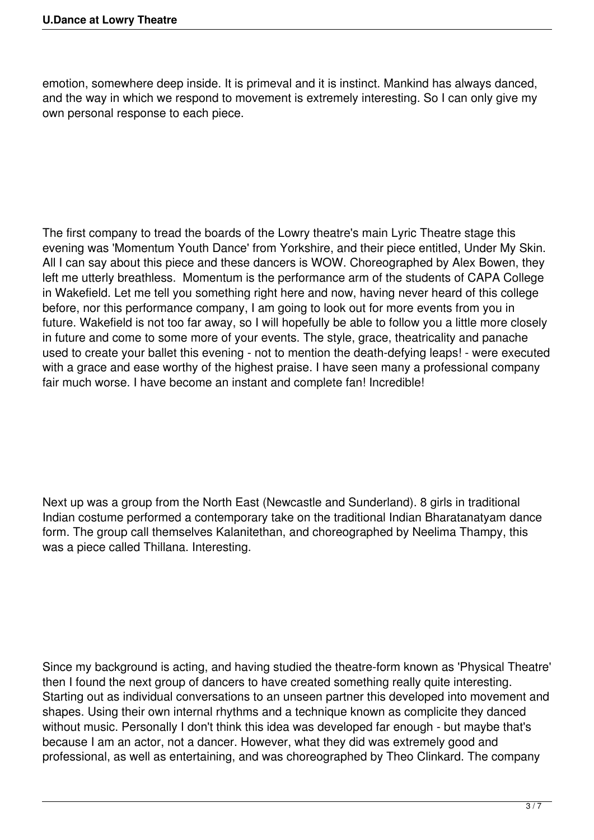emotion, somewhere deep inside. It is primeval and it is instinct. Mankind has always danced, and the way in which we respond to movement is extremely interesting. So I can only give my own personal response to each piece.

The first company to tread the boards of the Lowry theatre's main Lyric Theatre stage this evening was 'Momentum Youth Dance' from Yorkshire, and their piece entitled, Under My Skin. All I can say about this piece and these dancers is WOW. Choreographed by Alex Bowen, they left me utterly breathless. Momentum is the performance arm of the students of CAPA College in Wakefield. Let me tell you something right here and now, having never heard of this college before, nor this performance company, I am going to look out for more events from you in future. Wakefield is not too far away, so I will hopefully be able to follow you a little more closely in future and come to some more of your events. The style, grace, theatricality and panache used to create your ballet this evening - not to mention the death-defying leaps! - were executed with a grace and ease worthy of the highest praise. I have seen many a professional company fair much worse. I have become an instant and complete fan! Incredible!

Next up was a group from the North East (Newcastle and Sunderland). 8 girls in traditional Indian costume performed a contemporary take on the traditional Indian Bharatanatyam dance form. The group call themselves Kalanitethan, and choreographed by Neelima Thampy, this was a piece called Thillana. Interesting.

Since my background is acting, and having studied the theatre-form known as 'Physical Theatre' then I found the next group of dancers to have created something really quite interesting. Starting out as individual conversations to an unseen partner this developed into movement and shapes. Using their own internal rhythms and a technique known as complicite they danced without music. Personally I don't think this idea was developed far enough - but maybe that's because I am an actor, not a dancer. However, what they did was extremely good and professional, as well as entertaining, and was choreographed by Theo Clinkard. The company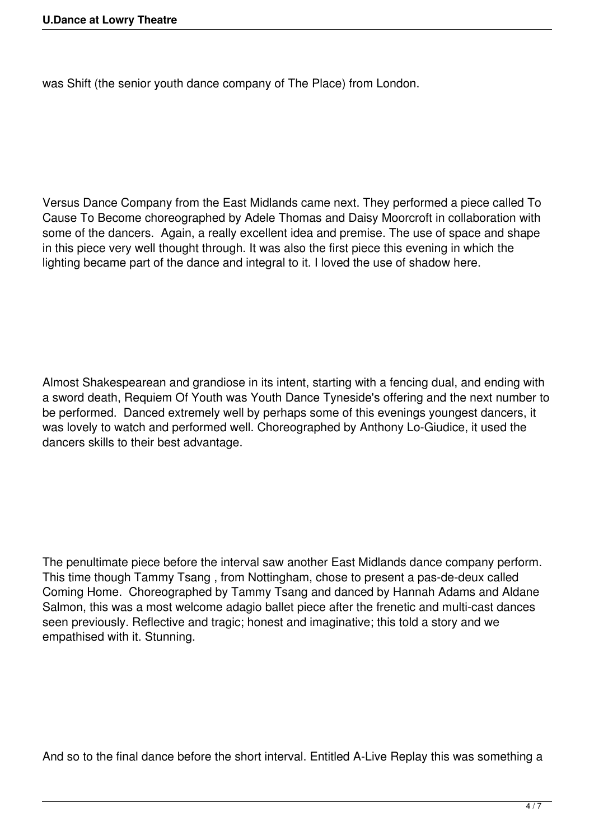was Shift (the senior youth dance company of The Place) from London.

Versus Dance Company from the East Midlands came next. They performed a piece called To Cause To Become choreographed by Adele Thomas and Daisy Moorcroft in collaboration with some of the dancers. Again, a really excellent idea and premise. The use of space and shape in this piece very well thought through. It was also the first piece this evening in which the lighting became part of the dance and integral to it. I loved the use of shadow here.

Almost Shakespearean and grandiose in its intent, starting with a fencing dual, and ending with a sword death, Requiem Of Youth was Youth Dance Tyneside's offering and the next number to be performed. Danced extremely well by perhaps some of this evenings youngest dancers, it was lovely to watch and performed well. Choreographed by Anthony Lo-Giudice, it used the dancers skills to their best advantage.

The penultimate piece before the interval saw another East Midlands dance company perform. This time though Tammy Tsang , from Nottingham, chose to present a pas-de-deux called Coming Home. Choreographed by Tammy Tsang and danced by Hannah Adams and Aldane Salmon, this was a most welcome adagio ballet piece after the frenetic and multi-cast dances seen previously. Reflective and tragic; honest and imaginative; this told a story and we empathised with it. Stunning.

And so to the final dance before the short interval. Entitled A-Live Replay this was something a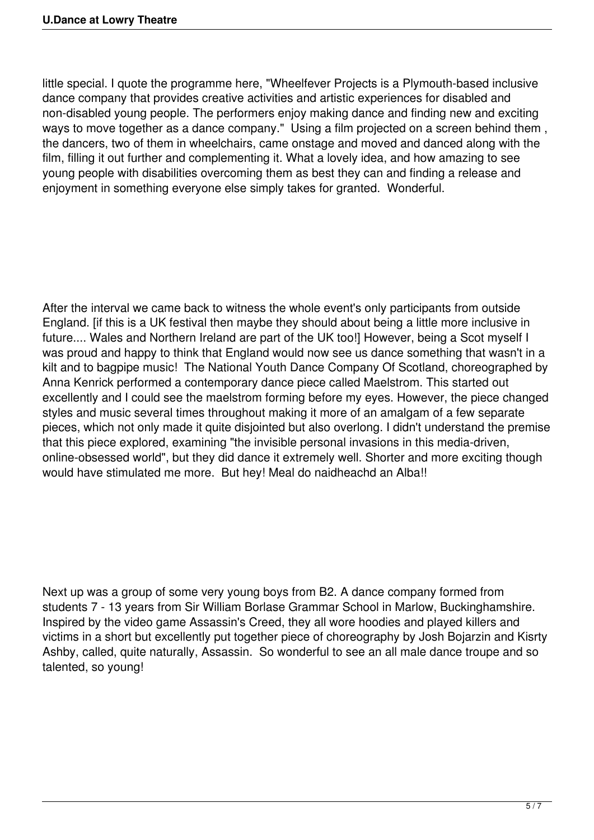little special. I quote the programme here, "Wheelfever Projects is a Plymouth-based inclusive dance company that provides creative activities and artistic experiences for disabled and non-disabled young people. The performers enjoy making dance and finding new and exciting ways to move together as a dance company." Using a film projected on a screen behind them, the dancers, two of them in wheelchairs, came onstage and moved and danced along with the film, filling it out further and complementing it. What a lovely idea, and how amazing to see young people with disabilities overcoming them as best they can and finding a release and enjoyment in something everyone else simply takes for granted. Wonderful.

After the interval we came back to witness the whole event's only participants from outside England. [if this is a UK festival then maybe they should about being a little more inclusive in future.... Wales and Northern Ireland are part of the UK too!] However, being a Scot myself I was proud and happy to think that England would now see us dance something that wasn't in a kilt and to bagpipe music! The National Youth Dance Company Of Scotland, choreographed by Anna Kenrick performed a contemporary dance piece called Maelstrom. This started out excellently and I could see the maelstrom forming before my eyes. However, the piece changed styles and music several times throughout making it more of an amalgam of a few separate pieces, which not only made it quite disjointed but also overlong. I didn't understand the premise that this piece explored, examining "the invisible personal invasions in this media-driven, online-obsessed world", but they did dance it extremely well. Shorter and more exciting though would have stimulated me more. But hey! Meal do naidheachd an Alba!!

Next up was a group of some very young boys from B2. A dance company formed from students 7 - 13 years from Sir William Borlase Grammar School in Marlow, Buckinghamshire. Inspired by the video game Assassin's Creed, they all wore hoodies and played killers and victims in a short but excellently put together piece of choreography by Josh Bojarzin and Kisrty Ashby, called, quite naturally, Assassin. So wonderful to see an all male dance troupe and so talented, so young!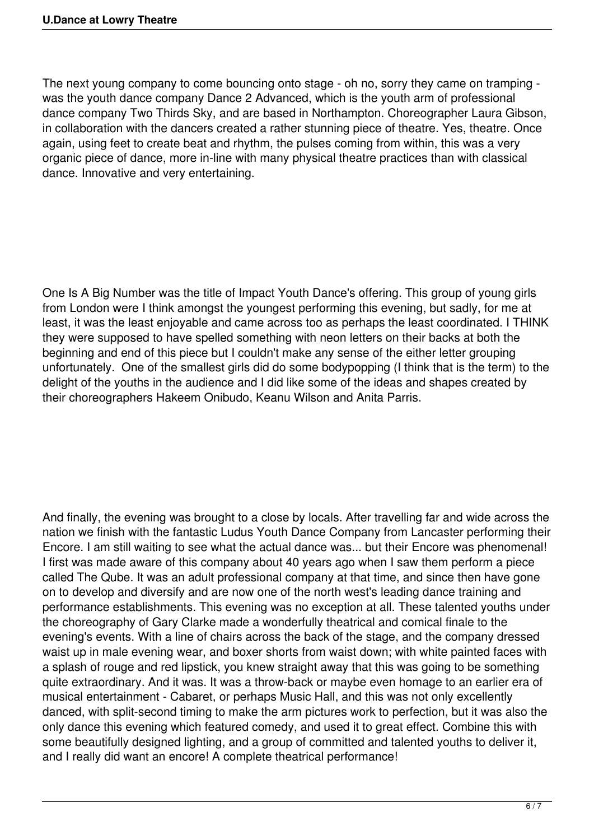The next young company to come bouncing onto stage - oh no, sorry they came on tramping was the youth dance company Dance 2 Advanced, which is the youth arm of professional dance company Two Thirds Sky, and are based in Northampton. Choreographer Laura Gibson, in collaboration with the dancers created a rather stunning piece of theatre. Yes, theatre. Once again, using feet to create beat and rhythm, the pulses coming from within, this was a very organic piece of dance, more in-line with many physical theatre practices than with classical dance. Innovative and very entertaining.

One Is A Big Number was the title of Impact Youth Dance's offering. This group of young girls from London were I think amongst the youngest performing this evening, but sadly, for me at least, it was the least enjoyable and came across too as perhaps the least coordinated. I THINK they were supposed to have spelled something with neon letters on their backs at both the beginning and end of this piece but I couldn't make any sense of the either letter grouping unfortunately. One of the smallest girls did do some bodypopping (I think that is the term) to the delight of the youths in the audience and I did like some of the ideas and shapes created by their choreographers Hakeem Onibudo, Keanu Wilson and Anita Parris.

And finally, the evening was brought to a close by locals. After travelling far and wide across the nation we finish with the fantastic Ludus Youth Dance Company from Lancaster performing their Encore. I am still waiting to see what the actual dance was... but their Encore was phenomenal! I first was made aware of this company about 40 years ago when I saw them perform a piece called The Qube. It was an adult professional company at that time, and since then have gone on to develop and diversify and are now one of the north west's leading dance training and performance establishments. This evening was no exception at all. These talented youths under the choreography of Gary Clarke made a wonderfully theatrical and comical finale to the evening's events. With a line of chairs across the back of the stage, and the company dressed waist up in male evening wear, and boxer shorts from waist down; with white painted faces with a splash of rouge and red lipstick, you knew straight away that this was going to be something quite extraordinary. And it was. It was a throw-back or maybe even homage to an earlier era of musical entertainment - Cabaret, or perhaps Music Hall, and this was not only excellently danced, with split-second timing to make the arm pictures work to perfection, but it was also the only dance this evening which featured comedy, and used it to great effect. Combine this with some beautifully designed lighting, and a group of committed and talented youths to deliver it, and I really did want an encore! A complete theatrical performance!